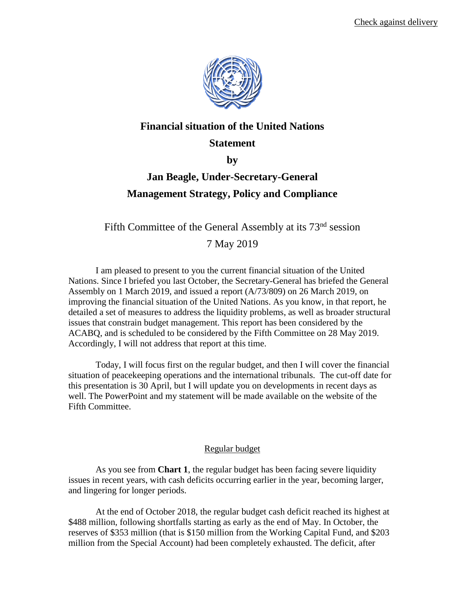

# **Financial situation of the United Nations Statement by Jan Beagle, Under-Secretary-General**

# **Management Strategy, Policy and Compliance**

# Fifth Committee of the General Assembly at its 73<sup>nd</sup> session 7 May 2019

I am pleased to present to you the current financial situation of the United Nations. Since I briefed you last October, the Secretary-General has briefed the General Assembly on 1 March 2019, and issued a report (A/73/809) on 26 March 2019, on improving the financial situation of the United Nations. As you know, in that report, he detailed a set of measures to address the liquidity problems, as well as broader structural issues that constrain budget management. This report has been considered by the ACABQ, and is scheduled to be considered by the Fifth Committee on 28 May 2019. Accordingly, I will not address that report at this time.

Today, I will focus first on the regular budget, and then I will cover the financial situation of peacekeeping operations and the international tribunals. The cut-off date for this presentation is 30 April, but I will update you on developments in recent days as well. The PowerPoint and my statement will be made available on the website of the Fifth Committee.

### Regular budget

As you see from **Chart 1**, the regular budget has been facing severe liquidity issues in recent years, with cash deficits occurring earlier in the year, becoming larger, and lingering for longer periods.

At the end of October 2018, the regular budget cash deficit reached its highest at \$488 million, following shortfalls starting as early as the end of May. In October, the reserves of \$353 million (that is \$150 million from the Working Capital Fund, and \$203 million from the Special Account) had been completely exhausted. The deficit, after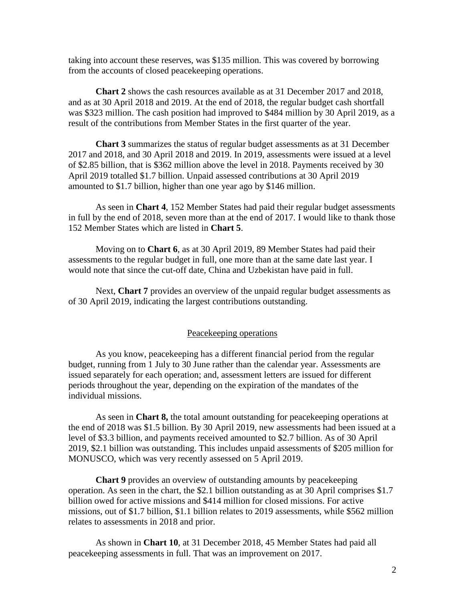taking into account these reserves, was \$135 million. This was covered by borrowing from the accounts of closed peacekeeping operations.

**Chart 2** shows the cash resources available as at 31 December 2017 and 2018, and as at 30 April 2018 and 2019. At the end of 2018, the regular budget cash shortfall was \$323 million. The cash position had improved to \$484 million by 30 April 2019, as a result of the contributions from Member States in the first quarter of the year.

**Chart 3** summarizes the status of regular budget assessments as at 31 December 2017 and 2018, and 30 April 2018 and 2019. In 2019, assessments were issued at a level of \$2.85 billion, that is \$362 million above the level in 2018. Payments received by 30 April 2019 totalled \$1.7 billion. Unpaid assessed contributions at 30 April 2019 amounted to \$1.7 billion, higher than one year ago by \$146 million.

As seen in **Chart 4**, 152 Member States had paid their regular budget assessments in full by the end of 2018, seven more than at the end of 2017. I would like to thank those 152 Member States which are listed in **Chart 5**.

Moving on to **Chart 6**, as at 30 April 2019, 89 Member States had paid their assessments to the regular budget in full, one more than at the same date last year. I would note that since the cut-off date, China and Uzbekistan have paid in full.

Next, **Chart 7** provides an overview of the unpaid regular budget assessments as of 30 April 2019, indicating the largest contributions outstanding.

#### Peacekeeping operations

As you know, peacekeeping has a different financial period from the regular budget, running from 1 July to 30 June rather than the calendar year. Assessments are issued separately for each operation; and, assessment letters are issued for different periods throughout the year, depending on the expiration of the mandates of the individual missions.

As seen in **Chart 8,** the total amount outstanding for peacekeeping operations at the end of 2018 was \$1.5 billion. By 30 April 2019, new assessments had been issued at a level of \$3.3 billion, and payments received amounted to \$2.7 billion. As of 30 April 2019, \$2.1 billion was outstanding. This includes unpaid assessments of \$205 million for MONUSCO, which was very recently assessed on 5 April 2019.

**Chart 9** provides an overview of outstanding amounts by peacekeeping operation. As seen in the chart, the \$2.1 billion outstanding as at 30 April comprises \$1.7 billion owed for active missions and \$414 million for closed missions. For active missions, out of \$1.7 billion, \$1.1 billion relates to 2019 assessments, while \$562 million relates to assessments in 2018 and prior.

As shown in **Chart 10**, at 31 December 2018, 45 Member States had paid all peacekeeping assessments in full. That was an improvement on 2017.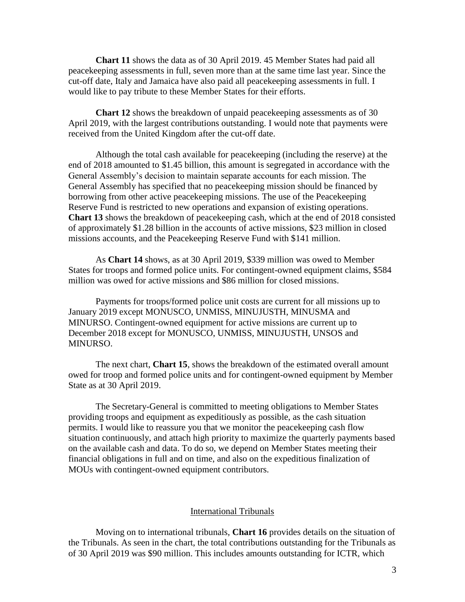**Chart 11** shows the data as of 30 April 2019. 45 Member States had paid all peacekeeping assessments in full, seven more than at the same time last year. Since the cut-off date, Italy and Jamaica have also paid all peacekeeping assessments in full. I would like to pay tribute to these Member States for their efforts.

**Chart 12** shows the breakdown of unpaid peacekeeping assessments as of 30 April 2019, with the largest contributions outstanding. I would note that payments were received from the United Kingdom after the cut-off date.

Although the total cash available for peacekeeping (including the reserve) at the end of 2018 amounted to \$1.45 billion, this amount is segregated in accordance with the General Assembly's decision to maintain separate accounts for each mission. The General Assembly has specified that no peacekeeping mission should be financed by borrowing from other active peacekeeping missions. The use of the Peacekeeping Reserve Fund is restricted to new operations and expansion of existing operations. **Chart 13** shows the breakdown of peacekeeping cash, which at the end of 2018 consisted of approximately \$1.28 billion in the accounts of active missions, \$23 million in closed missions accounts, and the Peacekeeping Reserve Fund with \$141 million.

As **Chart 14** shows, as at 30 April 2019, \$339 million was owed to Member States for troops and formed police units. For contingent-owned equipment claims, \$584 million was owed for active missions and \$86 million for closed missions.

Payments for troops/formed police unit costs are current for all missions up to January 2019 except MONUSCO, UNMISS, MINUJUSTH, MINUSMA and MINURSO. Contingent-owned equipment for active missions are current up to December 2018 except for MONUSCO, UNMISS, MINUJUSTH, UNSOS and MINURSO.

The next chart, **Chart 15**, shows the breakdown of the estimated overall amount owed for troop and formed police units and for contingent-owned equipment by Member State as at 30 April 2019.

The Secretary-General is committed to meeting obligations to Member States providing troops and equipment as expeditiously as possible, as the cash situation permits. I would like to reassure you that we monitor the peacekeeping cash flow situation continuously, and attach high priority to maximize the quarterly payments based on the available cash and data. To do so, we depend on Member States meeting their financial obligations in full and on time, and also on the expeditious finalization of MOUs with contingent-owned equipment contributors.

#### International Tribunals

Moving on to international tribunals, **Chart 16** provides details on the situation of the Tribunals. As seen in the chart, the total contributions outstanding for the Tribunals as of 30 April 2019 was \$90 million. This includes amounts outstanding for ICTR, which